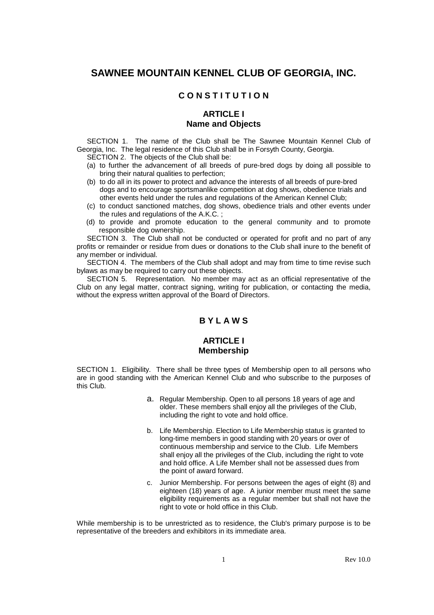# **SAWNEE MOUNTAIN KENNEL CLUB OF GEORGIA, INC.**

### **C O N S T I T U T I O N**

### **ARTICLE I Name and Objects**

 SECTION 1. The name of the Club shall be The Sawnee Mountain Kennel Club of Georgia, Inc. The legal residence of this Club shall be in Forsyth County, Georgia. SECTION 2. The objects of the Club shall be:

- (a) to further the advancement of all breeds of pure-bred dogs by doing all possible to bring their natural qualities to perfection;
- (b) to do all in its power to protect and advance the interests of all breeds of pure-bred dogs and to encourage sportsmanlike competition at dog shows, obedience trials and other events held under the rules and regulations of the American Kennel Club;
- (c) to conduct sanctioned matches, dog shows, obedience trials and other events under the rules and regulations of the A.K.C. ;
- (d) to provide and promote education to the general community and to promote responsible dog ownership.

 SECTION 3. The Club shall not be conducted or operated for profit and no part of any profits or remainder or residue from dues or donations to the Club shall inure to the benefit of any member or individual.

 SECTION 4. The members of the Club shall adopt and may from time to time revise such bylaws as may be required to carry out these objects.

 SECTION 5. Representation. No member may act as an official representative of the Club on any legal matter, contract signing, writing for publication, or contacting the media, without the express written approval of the Board of Directors.

#### **B Y L A W S**

#### **ARTICLE I Membership**

SECTION 1. Eligibility. There shall be three types of Membership open to all persons who are in good standing with the American Kennel Club and who subscribe to the purposes of this Club.

- a. Regular Membership. Open to all persons 18 years of age and older. These members shall enjoy all the privileges of the Club, including the right to vote and hold office.
- b. Life Membership. Election to Life Membership status is granted to long-time members in good standing with 20 years or over of continuous membership and service to the Club. Life Members shall enjoy all the privileges of the Club, including the right to vote and hold office. A Life Member shall not be assessed dues from the point of award forward.
- c. Junior Membership. For persons between the ages of eight (8) and eighteen (18) years of age. A junior member must meet the same eligibility requirements as a regular member but shall not have the right to vote or hold office in this Club.

While membership is to be unrestricted as to residence, the Club's primary purpose is to be representative of the breeders and exhibitors in its immediate area.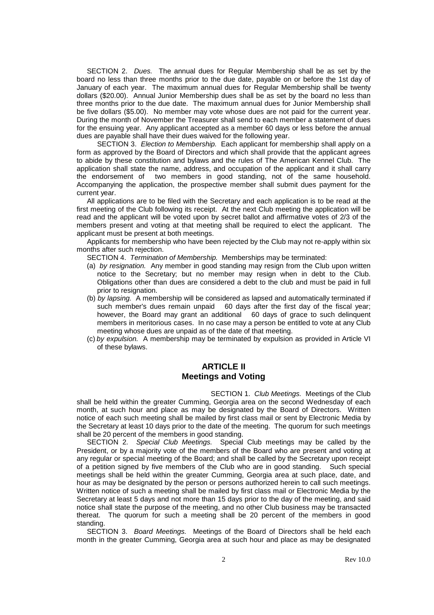SECTION 2. Dues. The annual dues for Regular Membership shall be as set by the board no less than three months prior to the due date, payable on or before the 1st day of January of each year. The maximum annual dues for Regular Membership shall be twenty dollars (\$20.00). Annual Junior Membership dues shall be as set by the board no less than three months prior to the due date. The maximum annual dues for Junior Membership shall be five dollars (\$5.00). No member may vote whose dues are not paid for the current year. During the month of November the Treasurer shall send to each member a statement of dues for the ensuing year. Any applicant accepted as a member 60 days or less before the annual dues are payable shall have their dues waived for the following year.

SECTION 3. Election to Membership. Each applicant for membership shall apply on a form as approved by the Board of Directors and which shall provide that the applicant agrees to abide by these constitution and bylaws and the rules of The American Kennel Club. The application shall state the name, address, and occupation of the applicant and it shall carry the endorsement of two members in good standing, not of the same household. Accompanying the application, the prospective member shall submit dues payment for the current year.

 All applications are to be filed with the Secretary and each application is to be read at the first meeting of the Club following its receipt. At the next Club meeting the application will be read and the applicant will be voted upon by secret ballot and affirmative votes of 2/3 of the members present and voting at that meeting shall be required to elect the applicant. The applicant must be present at both meetings.

 Applicants for membership who have been rejected by the Club may not re-apply within six months after such rejection.

SECTION 4. Termination of Membership. Memberships may be terminated:

- (a) by resignation. Any member in good standing may resign from the Club upon written notice to the Secretary; but no member may resign when in debt to the Club. Obligations other than dues are considered a debt to the club and must be paid in full prior to resignation.
- (b) by lapsing. A membership will be considered as lapsed and automatically terminated if such member's dues remain unpaid 60 days after the first day of the fiscal year; however, the Board may grant an additional 60 days of grace to such delinquent members in meritorious cases. In no case may a person be entitled to vote at any Club meeting whose dues are unpaid as of the date of that meeting.
- (c) by expulsion. A membership may be terminated by expulsion as provided in Article VI of these bylaws.

#### **ARTICLE II Meetings and Voting**

SECTION 1. Club Meetings. Meetings of the Club shall be held within the greater Cumming, Georgia area on the second Wednesday of each month, at such hour and place as may be designated by the Board of Directors. Written notice of each such meeting shall be mailed by first class mail or sent by Electronic Media by the Secretary at least 10 days prior to the date of the meeting. The quorum for such meetings shall be 20 percent of the members in good standing.

SECTION 2. Special Club Meetings. Special Club meetings may be called by the President, or by a majority vote of the members of the Board who are present and voting at any regular or special meeting of the Board; and shall be called by the Secretary upon receipt of a petition signed by five members of the Club who are in good standing. Such special meetings shall be held within the greater Cumming, Georgia area at such place, date, and hour as may be designated by the person or persons authorized herein to call such meetings. Written notice of such a meeting shall be mailed by first class mail or Electronic Media by the Secretary at least 5 days and not more than 15 days prior to the day of the meeting, and said notice shall state the purpose of the meeting, and no other Club business may be transacted thereat. The quorum for such a meeting shall be 20 percent of the members in good standing.

SECTION 3. Board Meetings. Meetings of the Board of Directors shall be held each month in the greater Cumming, Georgia area at such hour and place as may be designated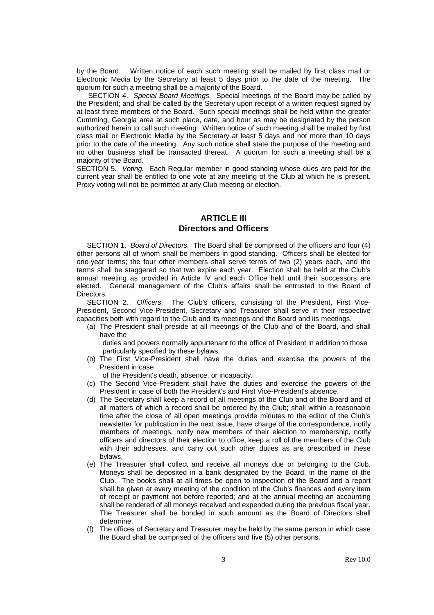by the Board. Written notice of each such meeting shall be mailed by first class mail or Electronic Media by the Secretary at least 5 days prior to the date of the meeting. The quorum for such a meeting shall be a majority of the Board.

 SECTION 4. Special Board Meetings. Special meetings of the Board may be called by the President; and shall be called by the Secretary upon receipt of a written request signed by at least three members of the Board. Such special meetings shall be held within the greater Cumming, Georgia area at such place, date, and hour as may be designated by the person authorized herein to call such meeting. Written notice of such meeting shall be mailed by first class mail or Electronic Media by the Secretary at least 5 days and not more than 10 days prior to the date of the meeting. Any such notice shall state the purpose of the meeting and no other business shall be transacted thereat. A quorum for such a meeting shall be a majority of the Board.

SECTION 5. Voting. Each Regular member in good standing whose dues are paid for the current year shall be entitled to one vote at any meeting of the Club at which he is present. Proxy voting will not be permitted at any Club meeting or election.

#### **ARTICLE III Directors and Officers**

 SECTION 1. Board of Directors. The Board shall be comprised of the officers and four (4) other persons all of whom shall be members in good standing. Officers shall be elected for one-year terms; the four other members shall serve terms of two (2) years each, and the terms shall be staggered so that two expire each year. Election shall be held at the Club's annual meeting as provided in Article IV and each Office held until their successors are elected. General management of the Club's affairs shall be entrusted to the Board of Directors.

 SECTION 2. Officers. The Club's officers, consisting of the President, First Vice-President, Second Vice-President, Secretary and Treasurer shall serve in their respective capacities both with regard to the Club and its meetings and the Board and its meetings.

(a) The President shall preside at all meetings of the Club and of the Board, and shall have the

 duties and powers normally appurtenant to the office of President in addition to those particularly specified by these bylaws.

(b) The First Vice-President shall have the duties and exercise the powers of the President in case

of the President's death, absence, or incapacity.

- (c) The Second Vice-President shall have the duties and exercise the powers of the President in case of both the President's and First Vice-President's absence.
- (d) The Secretary shall keep a record of all meetings of the Club and of the Board and of all matters of which a record shall be ordered by the Club; shall within a reasonable time after the close of all open meetings provide minutes to the editor of the Club's newsletter for publication in the next issue, have charge of the correspondence, notify members of meetings, notify new members of their election to membership, notify officers and directors of their election to office, keep a roll of the members of the Club with their addresses, and carry out such other duties as are prescribed in these bylaws.
- (e) The Treasurer shall collect and receive all moneys due or belonging to the Club. Moneys shall be deposited in a bank designated by the Board, in the name of the Club. The books shall at all times be open to inspection of the Board and a report shall be given at every meeting of the condition of the Club's finances and every item of receipt or payment not before reported; and at the annual meeting an accounting shall be rendered of all moneys received and expended during the previous fiscal year. The Treasurer shall be bonded in such amount as the Board of Directors shall determine.
- (f) The offices of Secretary and Treasurer may be held by the same person in which case the Board shall be comprised of the officers and five (5) other persons.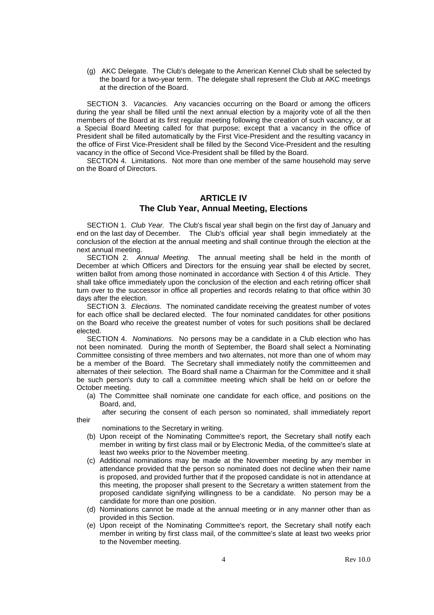(g) AKC Delegate. The Club's delegate to the American Kennel Club shall be selected by the board for a two-year term. The delegate shall represent the Club at AKC meetings at the direction of the Board.

SECTION 3. Vacancies. Any vacancies occurring on the Board or among the officers during the year shall be filled until the next annual election by a majority vote of all the then members of the Board at its first regular meeting following the creation of such vacancy, or at a Special Board Meeting called for that purpose; except that a vacancy in the office of President shall be filled automatically by the First Vice-President and the resulting vacancy in the office of First Vice-President shall be filled by the Second Vice-President and the resulting vacancy in the office of Second Vice-President shall be filled by the Board.

SECTION 4. Limitations. Not more than one member of the same household may serve on the Board of Directors.

### **ARTICLE IV The Club Year, Annual Meeting, Elections**

SECTION 1. Club Year. The Club's fiscal year shall begin on the first day of January and end on the last day of December. The Club's official year shall begin immediately at the conclusion of the election at the annual meeting and shall continue through the election at the next annual meeting.

 SECTION 2. Annual Meeting. The annual meeting shall be held in the month of December at which Officers and Directors for the ensuing year shall be elected by secret, written ballot from among those nominated in accordance with Section 4 of this Article. They shall take office immediately upon the conclusion of the election and each retiring officer shall turn over to the successor in office all properties and records relating to that office within 30 days after the election.

SECTION 3. Elections. The nominated candidate receiving the greatest number of votes for each office shall be declared elected. The four nominated candidates for other positions on the Board who receive the greatest number of votes for such positions shall be declared elected.

 SECTION 4. Nominations. No persons may be a candidate in a Club election who has not been nominated. During the month of September, the Board shall select a Nominating Committee consisting of three members and two alternates, not more than one of whom may be a member of the Board. The Secretary shall immediately notify the committeemen and alternates of their selection. The Board shall name a Chairman for the Committee and it shall be such person's duty to call a committee meeting which shall be held on or before the October meeting.

(a) The Committee shall nominate one candidate for each office, and positions on the Board, and,

 after securing the consent of each person so nominated, shall immediately report their

nominations to the Secretary in writing.

- (b) Upon receipt of the Nominating Committee's report, the Secretary shall notify each member in writing by first class mail or by Electronic Media, of the committee's slate at least two weeks prior to the November meeting.
- (c) Additional nominations may be made at the November meeting by any member in attendance provided that the person so nominated does not decline when their name is proposed, and provided further that if the proposed candidate is not in attendance at this meeting, the proposer shall present to the Secretary a written statement from the proposed candidate signifying willingness to be a candidate. No person may be a candidate for more than one position.
- (d) Nominations cannot be made at the annual meeting or in any manner other than as provided in this Section.
- (e) Upon receipt of the Nominating Committee's report, the Secretary shall notify each member in writing by first class mail, of the committee's slate at least two weeks prior to the November meeting.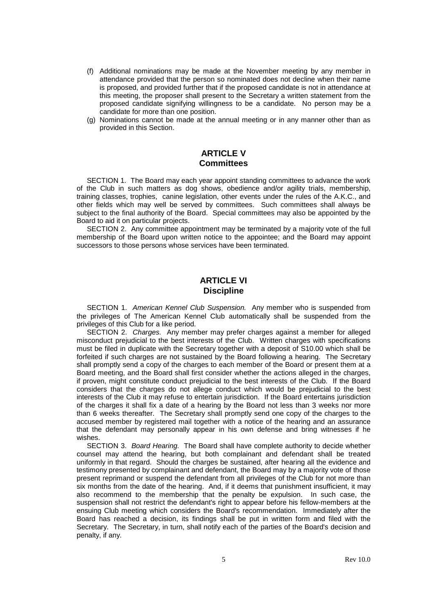- (f) Additional nominations may be made at the November meeting by any member in attendance provided that the person so nominated does not decline when their name is proposed, and provided further that if the proposed candidate is not in attendance at this meeting, the proposer shall present to the Secretary a written statement from the proposed candidate signifying willingness to be a candidate. No person may be a candidate for more than one position.
- (g) Nominations cannot be made at the annual meeting or in any manner other than as provided in this Section.

#### **ARTICLE V Committees**

 SECTION 1. The Board may each year appoint standing committees to advance the work of the Club in such matters as dog shows, obedience and/or agility trials, membership, training classes, trophies, canine legislation, other events under the rules of the A.K.C., and other fields which may well be served by committees. Such committees shall always be subject to the final authority of the Board. Special committees may also be appointed by the Board to aid it on particular projects.

 SECTION 2. Any committee appointment may be terminated by a majority vote of the full membership of the Board upon written notice to the appointee; and the Board may appoint successors to those persons whose services have been terminated.

#### **ARTICLE VI Discipline**

SECTION 1. American Kennel Club Suspension. Any member who is suspended from the privileges of The American Kennel Club automatically shall be suspended from the privileges of this Club for a like period.

SECTION 2. Charges. Any member may prefer charges against a member for alleged misconduct prejudicial to the best interests of the Club. Written charges with specifications must be filed in duplicate with the Secretary together with a deposit of S10.00 which shall be forfeited if such charges are not sustained by the Board following a hearing. The Secretary shall promptly send a copy of the charges to each member of the Board or present them at a Board meeting, and the Board shall first consider whether the actions alleged in the charges, if proven, might constitute conduct prejudicial to the best interests of the Club. If the Board considers that the charges do not allege conduct which would be prejudicial to the best interests of the Club it may refuse to entertain jurisdiction. If the Board entertains jurisdiction of the charges it shall fix a date of a hearing by the Board not less than 3 weeks nor more than 6 weeks thereafter. The Secretary shall promptly send one copy of the charges to the accused member by registered mail together with a notice of the hearing and an assurance that the defendant may personally appear in his own defense and bring witnesses if he wishes.

 SECTION 3. Board Hearing. The Board shall have complete authority to decide whether counsel may attend the hearing, but both complainant and defendant shall be treated uniformly in that regard. Should the charges be sustained, after hearing all the evidence and testimony presented by complainant and defendant, the Board may by a majority vote of those present reprimand or suspend the defendant from all privileges of the Club for not more than six months from the date of the hearing. And, if it deems that punishment insufficient, it may also recommend to the membership that the penalty be expulsion. In such case, the suspension shall not restrict the defendant's right to appear before his fellow-members at the ensuing Club meeting which considers the Board's recommendation. Immediately after the Board has reached a decision, its findings shall be put in written form and filed with the Secretary. The Secretary, in turn, shall notify each of the parties of the Board's decision and penalty, if any.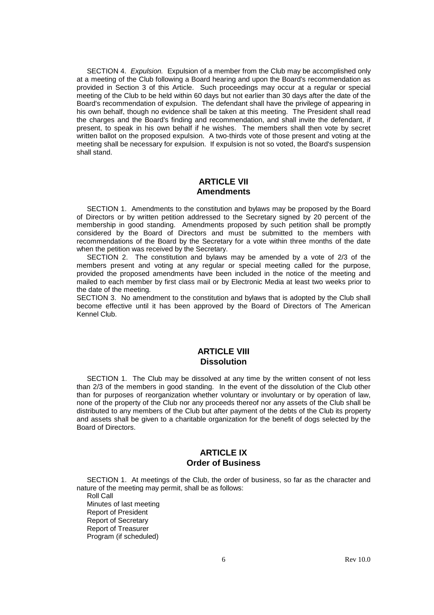SECTION 4. Expulsion. Expulsion of a member from the Club may be accomplished only at a meeting of the Club following a Board hearing and upon the Board's recommendation as provided in Section 3 of this Article. Such proceedings may occur at a regular or special meeting of the Club to be held within 60 days but not earlier than 30 days after the date of the Board's recommendation of expulsion. The defendant shall have the privilege of appearing in his own behalf, though no evidence shall be taken at this meeting. The President shall read the charges and the Board's finding and recommendation, and shall invite the defendant, if present, to speak in his own behalf if he wishes. The members shall then vote by secret written ballot on the proposed expulsion. A two-thirds vote of those present and voting at the meeting shall be necessary for expulsion. If expulsion is not so voted, the Board's suspension shall stand.

### **ARTICLE VII Amendments**

 SECTION 1. Amendments to the constitution and bylaws may be proposed by the Board of Directors or by written petition addressed to the Secretary signed by 20 percent of the membership in good standing. Amendments proposed by such petition shall be promptly considered by the Board of Directors and must be submitted to the members with recommendations of the Board by the Secretary for a vote within three months of the date when the petition was received by the Secretary.

 SECTION 2. The constitution and bylaws may be amended by a vote of 2/3 of the members present and voting at any regular or special meeting called for the purpose, provided the proposed amendments have been included in the notice of the meeting and mailed to each member by first class mail or by Electronic Media at least two weeks prior to the date of the meeting.

SECTION 3. No amendment to the constitution and bylaws that is adopted by the Club shall become effective until it has been approved by the Board of Directors of The American Kennel Club.

### **ARTICLE VIII Dissolution**

 SECTION 1. The Club may be dissolved at any time by the written consent of not less than 2/3 of the members in good standing. In the event of the dissolution of the Club other than for purposes of reorganization whether voluntary or involuntary or by operation of law, none of the property of the Club nor any proceeds thereof nor any assets of the Club shall be distributed to any members of the Club but after payment of the debts of the Club its property and assets shall be given to a charitable organization for the benefit of dogs selected by the Board of Directors.

## **ARTICLE IX Order of Business**

 SECTION 1. At meetings of the Club, the order of business, so far as the character and nature of the meeting may permit, shall be as follows:

 Roll Call Minutes of last meeting Report of President Report of Secretary Report of Treasurer

Program (if scheduled)